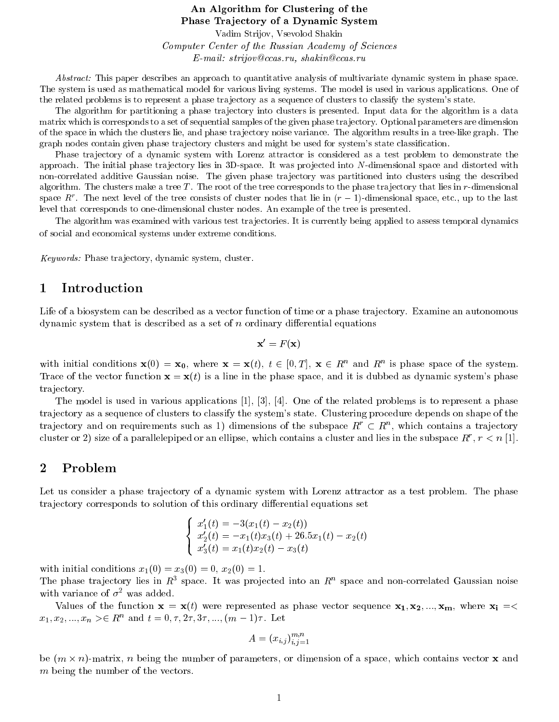#### An Algorithm for Clustering of the Phase Trajectory of a Dynamic System

Vadim Strijov, Vsevolod Shakin Computer Center of the Russian Academy of Sciences E-mail: strijov@ccas.ru, shakin@ccas.ru

Abstract: This paper describes an approach to quantitative analysis of multivariate dynamic system in phase space. The system is used as mathematical model for various living systems. The model is used in various applications. One of the related problems is to represent a phase tra jectory as a sequence of clusters to classify the system's state.

The algorithm for partitioning a phase trajectory into clusters is presented. Input data for the algorithm is a data matrix which is corresponds to a set of sequential samples of the given phase tra jectory. Optional parameters are dimension of the space in which the clusters lie, and phase tra jectory noise variance. The algorithm results in a tree-like graph. The graph nodes contain given phase trajectory clusters and might be used for system's state classification.

Phase tra jectory of a dynamic system with Lorenz attractor is considered as a test problem to demonstrate the approach. The initial phase trajectory lies in  $3D$ -space. It was projected into N-dimensional space and distorted with non-correlated additive Gaussian noise. The given phase trajectory was partitioned into clusters using the described algorithm. The clusters make a tree T. The root of the tree corresponds to the phase trajectory that lies in  $r$ -dimensional  $\mathbf{s}$ pace  $R$  . The next level of the tree consists of cluster nodes that he in  $(r-1)$ -dimensional space, etc., up to the last level that corresponds to one-dimensional cluster nodes. An example of the tree is presented.

The algorithm was examined with various test trajectories. It is currently being applied to assess temporal dynamics of social and economical systems under extreme conditions.

Keywords: Phase tra jectory, dynamic system, cluster.

#### 1 Introduction

Life of a biosystem can be described as a vector function of time or a phase trajectory. Examine an autonomous dynamic system that is described as a set of  $n$  ordinary differential equations

$$
\mathbf{x}' = F(\mathbf{x})
$$

with initial conditions  $\mathbf{x}(0) = \mathbf{x}_0$ , where  $\mathbf{x} = \mathbf{x}(t)$ ,  $t \in [0, T]$ ,  $\mathbf{x} \in R$  and  $R$  is phase space of the system. Trace of the vector function  $\mathbf{x} = \mathbf{x}(t)$  is a line in the phase space, and it is dubbed as dynamic system's phase trajectory.

The model is used in various applications [1], [3], [4]. One of the related problems is to represent a phase tra jectory as a sequence of clusters to classify the system's state. Clustering procedure depends on shape of the tra jectory and on requirements such as 1) dimensions of the subspace  $R_+ \subset R_+$ , which contains a trajectory cluster or 2) size of a parallelepiped or all empse, which contains a cluster and hes in the subspace  $R$  ,  $r < n$  [1].

## 2 Problem

Let us consider a phase trajectory of a dynamic system with Lorenz attractor as a test problem. The phase trajectory corresponds to solution of this ordinary differential equations set

$$
\left\{\begin{array}{l} x_1'(t)=-3(x_1(t)-x_2(t))\\ x_2'(t)=-x_1(t)x_3(t)+26.5x_1(t)-x_2(t)\\ x_3'(t)=x_1(t)x_2(t)-x_3(t)\end{array}\right.
$$

with initial conditions  $x_1(0) = x_3(0) = 0, x_2(0) = 1.$ 

The phase trajectory lies in  $R$  space. It was projected into an  $R$  space and non-correlated Gaussian noise with variance of  $\sigma^2$  was added.

Values of the function  $\mathbf{x} = \mathbf{x}(t)$  were represented as phase vector sequence  $\mathbf{x}_1, \mathbf{x}_2, ..., \mathbf{x}_m$ , where  $\mathbf{x}_i = \langle \mathbf{x}_i \rangle$  $x_1, x_2, ..., x_n >\in R^n$  and  $t = 0, \tau, 2\tau, 3\tau, ..., (m-1)\tau$ . Let

$$
A = (x_{i,j})_{i,j=1}^{m,n}
$$

 $\sim$  1.1  $\sim$  1.1  $\sim$  1.1  $\sim$  1.1  $\sim$  1.1  $\sim$  1.1  $\sim$  1.1  $\sim$  1.1  $\sim$  1.1  $\sim$  1.1  $\sim$  1.1  $\sim$  1.1  $\sim$  1.1  $\sim$  1.1  $\sim$  1.1  $\sim$  1.1  $\sim$  1.1  $\sim$  1.1  $\sim$  1.1  $\sim$  1.1  $\sim$  1.1  $\sim$  1.1  $\sim$  1.1  $\sim$  1.1  $\sim$ 

be a non-matrix, n being the number of parameters, or dimension of a space, which contains vector  $\mathbf{r}$ m being the number of the vectors.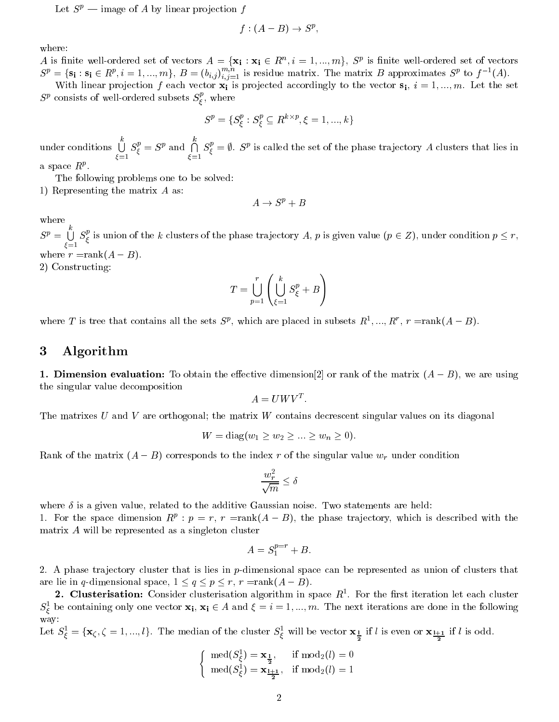Let  $S^p$  — image of A by linear projection f

$$
f:(A-B)\to S^p,
$$

A is finite well-ordered set of vectors  $A = \{x_i : x_i \in R^+, i = 1, ..., m\}$ ,  $S^r$  is finite well-ordered set of vectors  $S^p = \{s_i : s_i \in R^p, i = 1, ..., m\}, B = (b_{i,j})_{i,j=1}^{n}$  is residue matrix. The matrix B approximates  $S^p$  to f  $(A)$ .

With linear projection f each vector  $\mathbf{x}_i$  is projected accordingly to the vector  $\mathbf{s}_i$ ,  $i = 1, ..., m$ . Let the set  $S^p$  consists of well-ordered subsets  $S^r_{\epsilon}$ , where  $\mathcal{L}^{(j)}$  , where  $\mathcal{L}^{(j)}$  , where  $\mathcal{L}^{(j)}$ 

$$
S^p = \{S^p_\xi: S^p_\xi \subseteq R^{k \times p}, \xi = 1, ..., k\}
$$

under conditions  $\bigcup S_{\epsilon}^{p} = S^{p}$  and =1  $S_{\xi}^p = S^p$  and  $\bigcap S_{\xi}^p = \emptyset$ .  $S^p$ =1  $S_{\xi}^{\epsilon} = \emptyset$ .  $S^{\nu}$  is called the set of the phase trajectory A clusters that lies in a space  $R^p$ .

The following problems one to be solved: 1) Representing the matrix A as:

$$
A \to S^p + B
$$

where

 $S^p = \Box S^p_{\epsilon}$  is union  $-1$  $S_{\epsilon}$  is union is union of the phase transfer value (p  $\mathbf{r}$   $\mathbf{r}$   $\mathbf{v}$   $\mathbf{r}$   $\mathbf{r}$   $\mathbf{r}$   $\mathbf{r}$   $\mathbf{r}$   $\mathbf{r}$   $\mathbf{r}$   $\mathbf{r}$   $\mathbf{r}$   $\mathbf{r}$   $\mathbf{r}$   $\mathbf{r}$   $\mathbf{r}$   $\mathbf{r}$   $\mathbf{r}$   $\mathbf{r}$   $\mathbf{r}$  where  $\mathbf{r}$  is a sensor  $\mathbf{r}$  and  $\mathbf{r}$  and  $\mathbf{r}$ 

2) Constructing:

$$
T = \bigcup_{p=1}^{r} \left( \bigcup_{\xi=1}^{k} S_{\xi}^{p} + B \right)
$$

where 1 is tree that contains all the sets  $S<sup>r</sup>$ , which are placed in subsets  $R^1,..., R^r$ ,  $r =$ rank( $A = B$ ).

## 3 Algorithm

1. Dimension evaluation: To obtain the effective dimension [2] or rank of the matrix  $(A - B)$ , we are using the singular value decomposition

$$
A = UWV^T.
$$

The matrixes  $U$  and  $V$  are orthogonal; the matrix  $W$  contains decrescent singular values on its diagonal

$$
W = \text{diag}(w_1 \ge w_2 \ge ... \ge w_n \ge 0).
$$

Rank of the matrix  $(A - B)$  corresponds to the index r of the singular value  $w_r$  under condition

$$
\frac{w_r^2}{\sqrt{m}} \le \delta
$$

where  $\delta$  is a given value, related to the additive Gaussian noise. Two statements are held:

1. For the space dimension  $R^i$ :  $p = r$ ,  $r =$ rank( $A = D$ ), the phase trajectory, which is described with the matrix A will be represented as a singleton cluster

$$
A = S_1^{p=r} + B.
$$

2. A phase trajectory cluster that is lies in  $p$ -dimensional space can be represented as union of clusters that are lie in q-dimensional space,  $1 \le q \le p \le r$ ,  $r = rank(A - B)$ .

 $\boldsymbol{z}.$  Crusterisation: Consider clusterisation algorithm in space  $R$  . For the first iteration let each cluster  $S_{\xi}$  be containing only one vector  $\mathbf{x_i}, \mathbf{x_i} \in A$  and  $\zeta = i = 1, ..., m$ . The next iterations are done in the following way:

Let  $S_{\xi} = \{x_{\zeta}, \zeta = 1, ..., \ell\}$ . The median of the cluster  $S_{\xi}$  will be vector  $x_{\frac{1}{2}}$  if  $\ell$  is even or  $x_{\frac{1+1}{2}}$  if  $\ell$  is odd.

$$
\begin{cases} \operatorname{med}(S_{\xi}^1) = \mathbf{x}_{\frac{1}{2}}, & \text{if } \operatorname{mod}_2(l) = 0\\ \operatorname{med}(S_{\xi}^1) = \mathbf{x}_{\frac{l+1}{2}}, & \text{if } \operatorname{mod}_2(l) = 1 \end{cases}
$$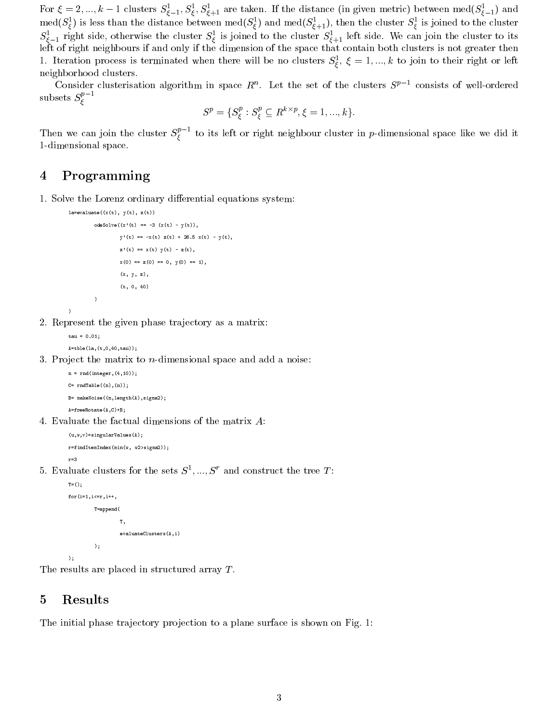For  $\zeta = \zeta, ..., \kappa - 1$  clusters  $S_{\xi-1}, S_{\xi}, S_{\xi+1}$  are taken. If the distance (in given metric) between med $(S_{\xi-1})$  and  $\text{med}(S_\xi)$  is less than the distance between  $\text{med}(S_\xi)$  and  $\text{med}(S_{\xi+1})$ , then the cluster  $S_\xi$  is joined to the cluster  $S_{\bar{\xi}-1}$  right side, otherwise the cluster  $S_{\bar{\xi}}$  is joined to the cluster  $S_{\bar{\xi}+1}$  left side. We can join the cluster to its left of right neighbours if and only if the dimension of the space that contain both clusters is not greater then 1. Iteration process is terminated when there will be no clusters  $S_{\xi}$ ,  $\xi = 1,...,k$  to join to their right or left neighborhood clusters.

Consider clusterisation algorithm in space  $R$  . Let the set of the clusters  $S^i$  consists of well-ordered subsets  $S^r_{\epsilon}$  is a set of  $S^r_{\epsilon}$ 

$$
S^p = \{S^p_\xi : S^p_\xi \subseteq R^{k \times p}, \xi = 1, ..., k\}.
$$

Then we can join the cluster  $S_{\xi}^*$  to its left or right neighbour cluster in  $p$ -dimensional space like we did it 1-dimensional space.

## 4 Programming

 $\sim$  . The contract of the contract of the contract of the contract of the contract of the contract of the contract of the contract of the contract of the contract of the contract of the contract of the contract of the co

1. Solve the Lorenz ordinary differential equations system:

```
la=evaluate((x(t), y(t), z(t))\verb+odeSolve((x '(t) == -3 (x(t) - y(t)),y'(t) = -x(t) z(t) + 26.5 x(t) - y(t),z'(t) = x(t) y(t) - z(t),x(0) == x(0) == 0, y(0) == 1,(x, y, z),
                   (t, 0, 40)
         \lambda
```
2. Represent the given phase trajectory as a matrix:

```
tan = 0.01tau = 0.01;
A=tble(la,(t,0,40,tau));
```
)

 $\lambda$ 

3. Project the matrix to  $n$ -dimensional space and add a noise:

```
n = rnd(integer, (4,10));C= \text{rndTable}((n),(n));
B= makeNoise((n,length(A),sigma2);
A=freeRotate(A,C)+B;
```
4. Evaluate the factual dimensions of the matrix A:

```
(u, w, v)=singularValues(A);
r=findItemIndex(min(w, w2>sigma2));
```
 $\sigma$ . Evaluate clusters for the sets  $\sigma$ , ...,  $\sigma$  and construct the tree  $T$ :

```
T = ()\sim \sim \sim \simfor(i=1,i<=r,i++,
          T=append(
                     \mathbf{T}\sim \simevaluateClusters(A,i)
          );
```
);

The results are placed in structured array T.

## 5 Results

The initial phase trajectory projection to a plane surface is shown on Fig. 1: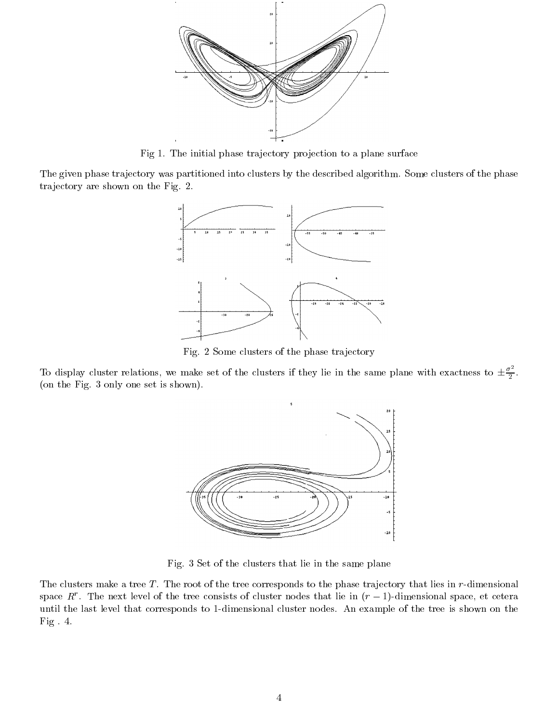

Fig 1. The initial phase trajectory projection to a plane surface

The given phase trajectory was partitioned into clusters by the described algorithm. Some clusters of the phase trajectory are shown on the Fig. 2.



Fig. 2 Some clusters of the phase trajectory

To display cluster relations, we make set of the clusters if they lie in the same plane with exactness to  $\pm \frac{\sigma^2}{2}$ . (on the Fig. 3 only one set is shown).



Fig. 3 Set of the clusters that lie in the same plane

The clusters make a tree  $T$ . The root of the tree corresponds to the phase trajectory that lies in  $r$ -dimensional  $\mathop{\rm space}\nolimits R$  . The next level of the tree consists of cluster nodes that he in  $(r-1)$ -dimensional space, et cetera until the last level that corresponds to 1-dimensional cluster nodes. An example of the tree is shown on the Fig . 4.